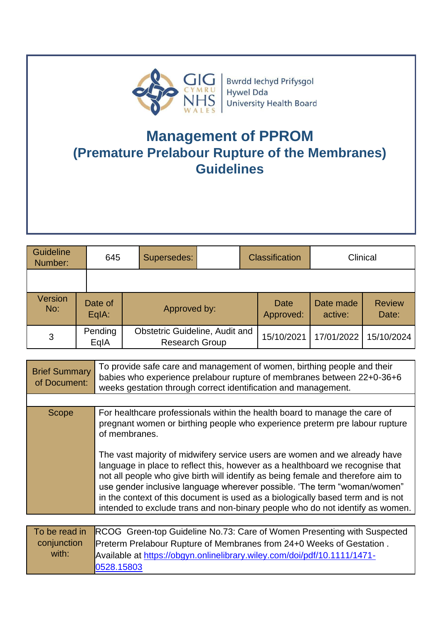

# **Management of PPROM (Premature Prelabour Rupture of the Membranes) Guidelines**

| Guideline<br>Number:  | 645                | Supersedes:                                                    | <b>Classification</b> |                      | Clinical               |
|-----------------------|--------------------|----------------------------------------------------------------|-----------------------|----------------------|------------------------|
|                       |                    |                                                                |                       |                      |                        |
| <b>Version</b><br>No: | Date of<br>$EqA$ : | Approved by:                                                   | Date<br>Approved:     | Date made<br>active: | <b>Review</b><br>Date: |
| 3                     | Pending<br>EqIA    | <b>Obstetric Guideline, Audit and</b><br><b>Research Group</b> | 15/10/2021            | 17/01/2022           | 15/10/2024             |

| <b>Brief Summary</b><br>of Document: | To provide safe care and management of women, birthing people and their<br>babies who experience prelabour rupture of membranes between 22+0-36+6<br>weeks gestation through correct identification and management.                                                                                                                                                                                                                                                                             |
|--------------------------------------|-------------------------------------------------------------------------------------------------------------------------------------------------------------------------------------------------------------------------------------------------------------------------------------------------------------------------------------------------------------------------------------------------------------------------------------------------------------------------------------------------|
|                                      |                                                                                                                                                                                                                                                                                                                                                                                                                                                                                                 |
| <b>Scope</b>                         | For healthcare professionals within the health board to manage the care of<br>pregnant women or birthing people who experience preterm pre labour rupture<br>of membranes.                                                                                                                                                                                                                                                                                                                      |
|                                      | The vast majority of midwifery service users are women and we already have<br>language in place to reflect this, however as a healthboard we recognise that<br>not all people who give birth will identify as being female and therefore aim to<br>use gender inclusive language wherever possible. 'The term "woman/women"<br>in the context of this document is used as a biologically based term and is not<br>intended to exclude trans and non-binary people who do not identify as women. |
|                                      |                                                                                                                                                                                                                                                                                                                                                                                                                                                                                                 |
| To be read in                        | RCOG Green-top Guideline No.73: Care of Women Presenting with Suspected                                                                                                                                                                                                                                                                                                                                                                                                                         |
| conjunction                          | Preterm Prelabour Rupture of Membranes from 24+0 Weeks of Gestation.                                                                                                                                                                                                                                                                                                                                                                                                                            |

with: Available at [https://obgyn.onlinelibrary.wiley.com/doi/pdf/10.1111/1471-](https://obgyn.onlinelibrary.wiley.com/doi/pdf/10.1111/1471-0528.15803) [0528.15803](https://obgyn.onlinelibrary.wiley.com/doi/pdf/10.1111/1471-0528.15803)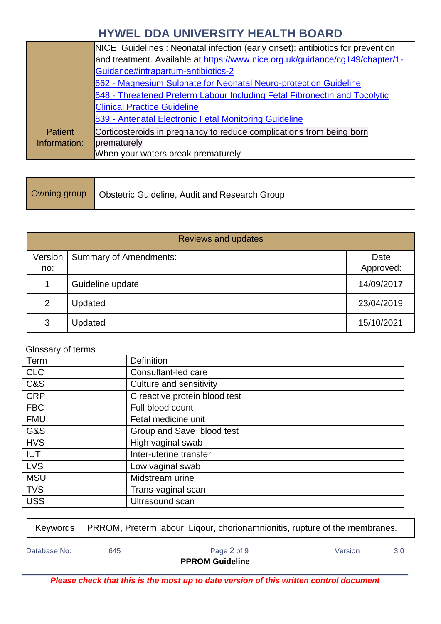|                | NICE Guidelines: Neonatal infection (early onset): antibiotics for prevention |  |  |  |
|----------------|-------------------------------------------------------------------------------|--|--|--|
|                | and treatment. Available at https://www.nice.org.uk/guidance/cg149/chapter/1- |  |  |  |
|                | Guidance#intrapartum-antibiotics-2                                            |  |  |  |
|                | 662 - Magnesium Sulphate for Neonatal Neuro-protection Guideline              |  |  |  |
|                | 648 - Threatened Preterm Labour Including Fetal Fibronectin and Tocolytic     |  |  |  |
|                | <b>Clinical Practice Guideline</b>                                            |  |  |  |
|                | 839 - Antenatal Electronic Fetal Monitoring Guideline                         |  |  |  |
| <b>Patient</b> | Corticosteroids in pregnancy to reduce complications from being born          |  |  |  |
| Information:   | prematurely                                                                   |  |  |  |
|                | When your waters break prematurely                                            |  |  |  |

| Owning group   Obstetric Guideline, Audit and Research Group |
|--------------------------------------------------------------|
|                                                              |

|                | <b>Reviews and updates</b>    |            |  |  |
|----------------|-------------------------------|------------|--|--|
| Version        | <b>Summary of Amendments:</b> | Date       |  |  |
| no:            |                               | Approved:  |  |  |
| 1              | Guideline update              | 14/09/2017 |  |  |
| $\overline{2}$ | Updated                       | 23/04/2019 |  |  |
| 3              | Updated                       | 15/10/2021 |  |  |

### Glossary of terms

| Term       | <b>Definition</b>             |
|------------|-------------------------------|
| <b>CLC</b> | Consultant-led care           |
| C&S        | Culture and sensitivity       |
| <b>CRP</b> | C reactive protein blood test |
| <b>FBC</b> | Full blood count              |
| <b>FMU</b> | Fetal medicine unit           |
| G&S        | Group and Save blood test     |
| <b>HVS</b> | High vaginal swab             |
| <b>IUT</b> | Inter-uterine transfer        |
| <b>LVS</b> | Low vaginal swab              |
| <b>MSU</b> | Midstream urine               |
| <b>TVS</b> | Trans-vaginal scan            |
| <b>USS</b> | Ultrasound scan               |

|              |     | Keywords   PRROM, Preterm labour, Ligour, chorionamnionitis, rupture of the membranes. |         |     |
|--------------|-----|----------------------------------------------------------------------------------------|---------|-----|
| Database No: | 645 | Page 2 of 9<br><b>PPROM Guideline</b>                                                  | Version | 3.0 |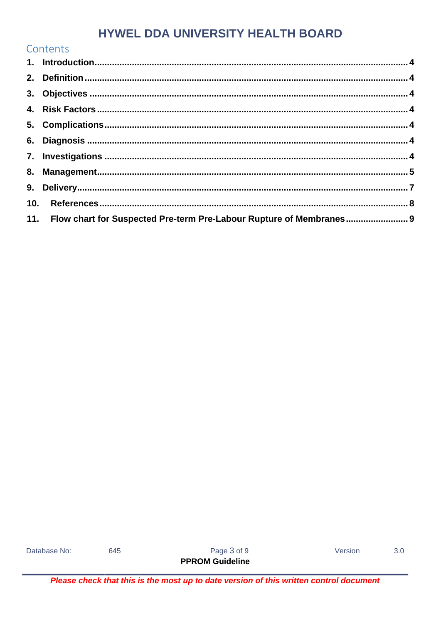| Contents                                                                |  |
|-------------------------------------------------------------------------|--|
|                                                                         |  |
|                                                                         |  |
|                                                                         |  |
|                                                                         |  |
|                                                                         |  |
|                                                                         |  |
|                                                                         |  |
|                                                                         |  |
|                                                                         |  |
|                                                                         |  |
| 11. Flow chart for Suspected Pre-term Pre-Labour Rupture of Membranes 9 |  |

645

Page 3 of 9

Version

 $3.0$ 

**PPROM Guideline**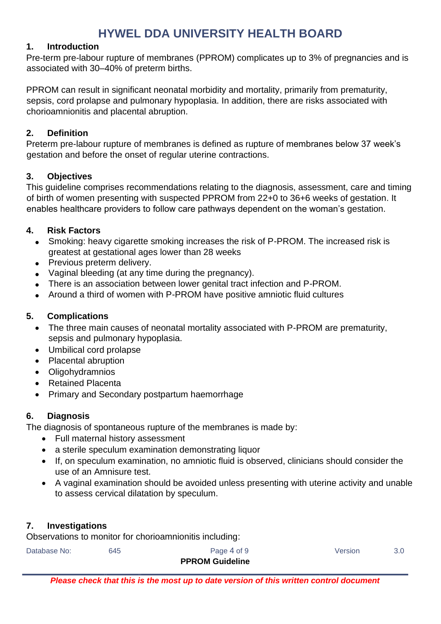#### <span id="page-3-0"></span>**1. Introduction**

Pre-term pre-labour rupture of membranes (PPROM) complicates up to 3% of pregnancies and is associated with 30–40% of preterm births.

PPROM can result in significant neonatal morbidity and mortality, primarily from prematurity, sepsis, cord prolapse and pulmonary hypoplasia. In addition, there are risks associated with chorioamnionitis and placental abruption.

#### <span id="page-3-1"></span>**2. Definition**

Preterm pre-labour rupture of membranes is defined as rupture of membranes below 37 week's gestation and before the onset of regular uterine contractions.

#### <span id="page-3-2"></span>**3. Objectives**

This guideline comprises recommendations relating to the diagnosis, assessment, care and timing of birth of women presenting with suspected PPROM from 22+0 to 36+6 weeks of gestation. It enables healthcare providers to follow care pathways dependent on the woman's gestation.

#### <span id="page-3-3"></span>**4. Risk Factors**

- Smoking: heavy cigarette smoking increases the risk of P-PROM. The increased risk is greatest at gestational ages lower than 28 weeks
- Previous preterm delivery.
- Vaginal bleeding (at any time during the pregnancy).
- There is an association between lower genital tract infection and P-PROM.
- Around a third of women with P-PROM have positive amniotic fluid cultures

#### <span id="page-3-4"></span>**5. Complications**

- The three main causes of neonatal mortality associated with P-PROM are prematurity, sepsis and pulmonary hypoplasia.
- Umbilical cord prolapse
- Placental abruption
- Oligohydramnios
- Retained Placenta
- Primary and Secondary postpartum haemorrhage

#### <span id="page-3-5"></span>**6. Diagnosis**

The diagnosis of spontaneous rupture of the membranes is made by:

- Full maternal history assessment
- a sterile speculum examination demonstrating liquor
- If, on speculum examination, no amniotic fluid is observed, clinicians should consider the use of an Amnisure test.
- A vaginal examination should be avoided unless presenting with uterine activity and unable to assess cervical dilatation by speculum.

#### <span id="page-3-6"></span>**7. Investigations**

Observations to monitor for chorioamnionitis including:

| Database No: | 645 | Page 4 of 9            | Version | 3.0 |
|--------------|-----|------------------------|---------|-----|
|              |     | <b>PPROM Guideline</b> |         |     |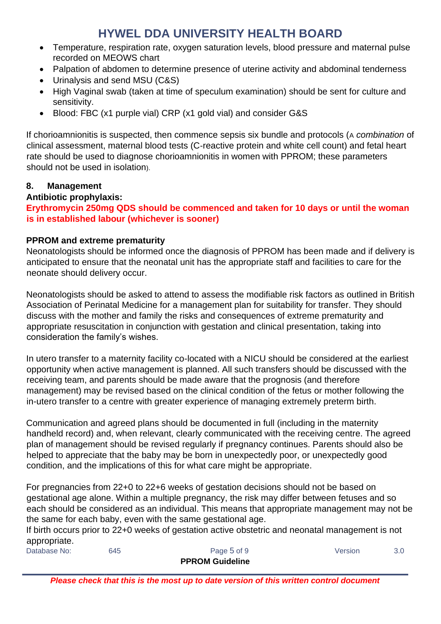- Temperature, respiration rate, oxygen saturation levels, blood pressure and maternal pulse recorded on MEOWS chart
- Palpation of abdomen to determine presence of uterine activity and abdominal tenderness
- Urinalysis and send MSU (C&S)
- High Vaginal swab (taken at time of speculum examination) should be sent for culture and sensitivity.
- Blood: FBC (x1 purple vial) CRP (x1 gold vial) and consider G&S

If chorioamnionitis is suspected, then commence sepsis six bundle and protocols (A *combination* of clinical assessment, maternal blood tests (C‐reactive protein and white cell count) and fetal heart rate should be used to diagnose chorioamnionitis in women with PPROM; these parameters should not be used in isolation).

### <span id="page-4-0"></span>**8. Management**

### **Antibiotic prophylaxis:**

#### **Erythromycin 250mg QDS should be commenced and taken for 10 days or until the woman is in established labour (whichever is sooner)**

#### **PPROM and extreme prematurity**

Neonatologists should be informed once the diagnosis of PPROM has been made and if delivery is anticipated to ensure that the neonatal unit has the appropriate staff and facilities to care for the neonate should delivery occur.

Neonatologists should be asked to attend to assess the modifiable risk factors as outlined in British Association of Perinatal Medicine for a management plan for suitability for transfer. They should discuss with the mother and family the risks and consequences of extreme prematurity and appropriate resuscitation in conjunction with gestation and clinical presentation, taking into consideration the family's wishes.

In utero transfer to a maternity facility co-located with a NICU should be considered at the earliest opportunity when active management is planned. All such transfers should be discussed with the receiving team, and parents should be made aware that the prognosis (and therefore management) may be revised based on the clinical condition of the fetus or mother following the in-utero transfer to a centre with greater experience of managing extremely preterm birth.

Communication and agreed plans should be documented in full (including in the maternity handheld record) and, when relevant, clearly communicated with the receiving centre. The agreed plan of management should be revised regularly if pregnancy continues. Parents should also be helped to appreciate that the baby may be born in unexpectedly poor, or unexpectedly good condition, and the implications of this for what care might be appropriate.

For pregnancies from 22+0 to 22+6 weeks of gestation decisions should not be based on gestational age alone. Within a multiple pregnancy, the risk may differ between fetuses and so each should be considered as an individual. This means that appropriate management may not be the same for each baby, even with the same gestational age.

If birth occurs prior to 22+0 weeks of gestation active obstetric and neonatal management is not appropriate.

| Database No: | 645 | Page 5 of 9            | Version | 3.0 <sub>1</sub> |
|--------------|-----|------------------------|---------|------------------|
|              |     | <b>PPROM Guideline</b> |         |                  |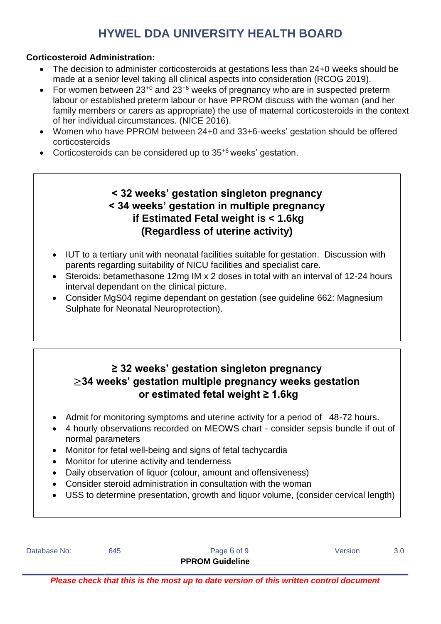### **Corticosteroid Administration:**

- The decision to administer corticosteroids at gestations less than 24+0 weeks should be made at a senior level taking all clinical aspects into consideration (RCOG 2019).
- For women between  $23^{+0}$  and  $23^{+6}$  weeks of pregnancy who are in suspected preterm labour or established preterm labour or have PPROM discuss with the woman (and her family members or carers as appropriate) the use of maternal corticosteroids in the context of her individual circumstances. (NICE 2016).
- Women who have PPROM between 24+0 and 33+6-weeks' gestation should be offered corticosteroids
- Corticosteroids can be considered up to 35<sup>+6</sup> weeks' gestation.

### **< 32 weeks' gestation singleton pregnancy < 34 weeks' gestation in multiple pregnancy if Estimated Fetal weight is < 1.6kg (Regardless of uterine activity)**

- IUT to a tertiary unit with neonatal facilities suitable for gestation. Discussion with parents regarding suitability of NICU facilities and specialist care.
- Steroids: betamethasone 12mg IM x 2 doses in total with an interval of 12-24 hours interval dependant on the clinical picture.
- Consider MgS04 regime dependant on gestation (see guideline 662: Magnesium Sulphate for Neonatal Neuroprotection).

## **≥ 32 weeks' gestation singleton pregnancy**  ≥**34 weeks' gestation multiple pregnancy weeks gestation or estimated fetal weight ≥ 1.6kg**

- Admit for monitoring symptoms and uterine activity for a period of 48-72 hours.
- 4 hourly observations recorded on MEOWS chart consider sepsis bundle if out of normal parameters
- Monitor for fetal well-being and signs of fetal tachycardia
- Monitor for uterine activity and tenderness
- Daily observation of liquor (colour, amount and offensiveness)
- Consider steroid administration in consultation with the woman
- USS to determine presentation, growth and liquor volume, (consider cervical length)

| Database No: | 645 | Page 6 of 9            | Version | 3.0 |
|--------------|-----|------------------------|---------|-----|
|              |     | <b>PPROM Guideline</b> |         |     |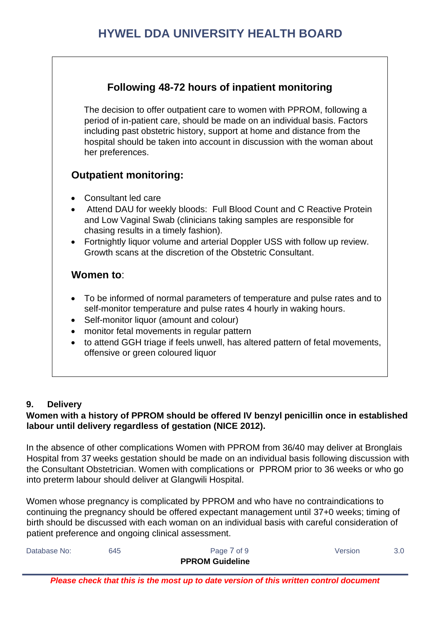### **Following 48-72 hours of inpatient monitoring**

The decision to offer outpatient care to women with PPROM, following a period of in-patient care, should be made on an individual basis. Factors including past obstetric history, support at home and distance from the hospital should be taken into account in discussion with the woman about her preferences.

### **Outpatient monitoring:**

- Consultant led care
- Attend DAU for weekly bloods: Full Blood Count and C Reactive Protein and Low Vaginal Swab (clinicians taking samples are responsible for chasing results in a timely fashion).
- Fortnightly liquor volume and arterial Doppler USS with follow up review. Growth scans at the discretion of the Obstetric Consultant.

### **Women to**:

- To be informed of normal parameters of temperature and pulse rates and to self-monitor temperature and pulse rates 4 hourly in waking hours.
- Self-monitor liquor (amount and colour)
- monitor fetal movements in regular pattern
- to attend GGH triage if feels unwell, has altered pattern of fetal movements, offensive or green coloured liquor

### <span id="page-6-0"></span>**9. Delivery**

### **Women with a history of PPROM should be offered IV benzyl penicillin once in established labour until delivery regardless of gestation (NICE 2012).**

In the absence of other complications Women with PPROM from 36/40 may deliver at Bronglais Hospital from 37 weeks gestation should be made on an individual basis following discussion with the Consultant Obstetrician. Women with complications or PPROM prior to 36 weeks or who go into preterm labour should deliver at Glangwili Hospital.

Women whose pregnancy is complicated by PPROM and who have no contraindications to continuing the pregnancy should be offered expectant management until 37+0 weeks; timing of birth should be discussed with each woman on an individual basis with careful consideration of patient preference and ongoing clinical assessment.

| Database No: | 645 | Page 7 of 9            | Version | 3.0 <sub>2</sub> |
|--------------|-----|------------------------|---------|------------------|
|              |     | <b>PPROM Guideline</b> |         |                  |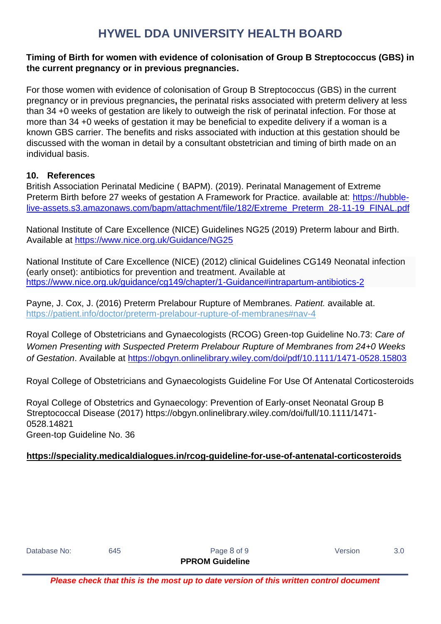#### **Timing of Birth for women with evidence of colonisation of Group B Streptococcus (GBS) in the current pregnancy or in previous pregnancies.**

For those women with evidence of colonisation of Group B Streptococcus (GBS) in the current pregnancy or in previous pregnancies**,** the perinatal risks associated with preterm delivery at less than 34 +0 weeks of gestation are likely to outweigh the risk of perinatal infection. For those at more than 34 +0 weeks of gestation it may be beneficial to expedite delivery if a woman is a known GBS carrier. The benefits and risks associated with induction at this gestation should be discussed with the woman in detail by a consultant obstetrician and timing of birth made on an individual basis.

#### <span id="page-7-0"></span>**10. References**

British Association Perinatal Medicine ( BAPM). (2019). Perinatal Management of Extreme Preterm Birth before 27 weeks of gestation A Framework for Practice. available at: [https://hubble](https://hubble-live-assets.s3.amazonaws.com/bapm/attachment/file/182/Extreme_Preterm_28-11-19_FINAL.pdf)[live-assets.s3.amazonaws.com/bapm/attachment/file/182/Extreme\\_Preterm\\_28-11-19\\_FINAL.pdf](https://hubble-live-assets.s3.amazonaws.com/bapm/attachment/file/182/Extreme_Preterm_28-11-19_FINAL.pdf)

National Institute of Care Excellence (NICE) Guidelines NG25 (2019) Preterm labour and Birth. Available at<https://www.nice.org.uk/Guidance/NG25>

National Institute of Care Excellence (NICE) (2012) clinical Guidelines CG149 Neonatal infection (early onset): antibiotics for prevention and treatment. Available at <https://www.nice.org.uk/guidance/cg149/chapter/1-Guidance#intrapartum-antibiotics-2>

Payne, J. Cox, J. (2016) Preterm Prelabour Rupture of Membranes. *Patient.* available at. <https://patient.info/doctor/preterm-prelabour-rupture-of-membranes#nav-4>

Royal College of Obstetricians and Gynaecologists (RCOG) Green-top Guideline No.73: *Care of Women Presenting with Suspected Preterm Prelabour Rupture of Membranes from 24+0 Weeks of Gestation*. Available at<https://obgyn.onlinelibrary.wiley.com/doi/pdf/10.1111/1471-0528.15803>

Royal College of Obstetricians and Gynaecologists Guideline For Use Of Antenatal Corticosteroids

Royal College of Obstetrics and Gynaecology: Prevention of Early-onset Neonatal Group B Streptococcal Disease (2017) https://obgyn.onlinelibrary.wiley.com/doi/full/10.1111/1471- 0528.14821 Green-top Guideline No. 36

#### **<https://speciality.medicaldialogues.in/rcog-guideline-for-use-of-antenatal-corticosteroids>**

| Database No: | 645 | Page 8 of 9 | Version |  |
|--------------|-----|-------------|---------|--|
|              |     |             |         |  |

**PPROM Guideline**